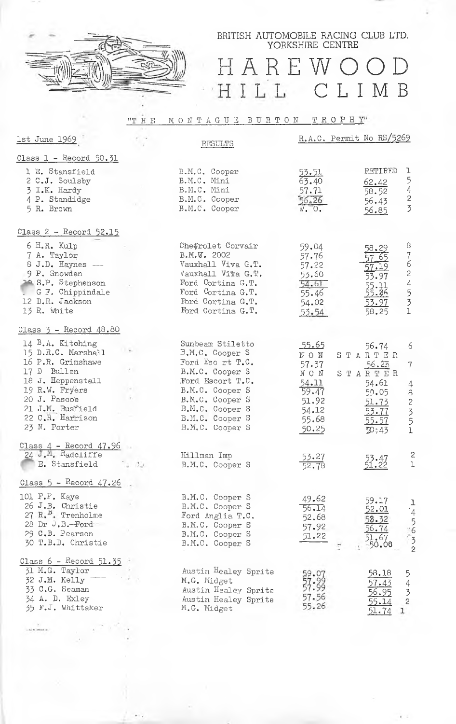

BRITISH AUTOMOBILE RACING CLUB LTD. YORKSHIRE CENTRE

## HAREWOOD HILL CLIMB

## "THE MONTAGUE BURTON TROPHY"

| <u>1st June 1969</u>                                                                                                                                                                      |               | RESULTS                                                                                                                                                                                       | R.A.C. Permit No RS/5269                                                           |                                                                                                                |                                                    |
|-------------------------------------------------------------------------------------------------------------------------------------------------------------------------------------------|---------------|-----------------------------------------------------------------------------------------------------------------------------------------------------------------------------------------------|------------------------------------------------------------------------------------|----------------------------------------------------------------------------------------------------------------|----------------------------------------------------|
| Class 1 - Record 50.31                                                                                                                                                                    |               |                                                                                                                                                                                               |                                                                                    |                                                                                                                |                                                    |
| 1 E. Stansfield<br>2 C.J. Soulsby<br>3 I.K. Hardy<br>4 P. Standidge<br>5 R. Brown                                                                                                         |               | B.M.C. Cooper<br>B.M.C. Mini<br>B.M.C. Mini<br>B.M.C. Cooper<br>B.M.C. Cooper                                                                                                                 | <u>53.51</u><br>63.40<br>57.71<br>56, 26<br>$W - 0.$                               | RETIRED<br>ı<br>5423<br>62.42<br>58.52<br>56.43<br>56.85                                                       |                                                    |
| Class 2 - Record 52.15                                                                                                                                                                    |               |                                                                                                                                                                                               |                                                                                    |                                                                                                                |                                                    |
| $6$ H.R. Kulp<br>7 A. Taylor<br>8 J.D. Haynes -<br>9 P. Snowden<br><sup>10</sup> S.P. Stephenson<br>. G F. Chippindale<br>12 D.R. Jackson<br>13 R. White                                  |               | Chefrolet Corvair<br>B.M.W. 2002<br>Vauxhall Viva G.T.<br>Vauxhall Viva G.T.<br>Ford Cortina G.T.<br>Ford Cortina G.T.<br>Ford Cortina G.T.<br>Ford Cortina G.T.                              | 59.04<br>57.76<br>57.22<br>53.60<br>54.61<br>55.46<br>54.02<br>53.54               | 8<br>58.29<br>7624531<br>65<br>57.19<br>53.97<br>55.11<br>55.36<br>53.97<br>58.25                              |                                                    |
| Class $3$ - Record $48.80$                                                                                                                                                                |               |                                                                                                                                                                                               |                                                                                    |                                                                                                                |                                                    |
| 14 B.A. Kitching<br>15 D.R.C. Marshall<br>16 P.R. Grimshawe<br>17 D Bullen<br>18 J. Heppenstall<br>19 R.W. Fryers<br>20 J. Pascoe<br>21 J.M. Busfield<br>22 C.R. Harrison<br>23 N. Porter |               | Sunbeam Stiletto<br>B.M.C. Cooper S<br>Ford Esc rt T.C.<br>B.M.C. Cooper S<br>Ford Escort T.C.<br>B.M.C. Cooper S<br>B.M.C. Cooper S<br>B.M.C. Cooper S<br>B.M.C. Cooper S<br>B.M.C. Cooper S | 55.65<br>NON<br>57.37<br>NON<br>54.11<br>59.47<br>51.92<br>54.12<br>55.68<br>50.25 | 56.74<br>STARTER<br>56.25<br>STARTER<br>54.61<br>59.05<br><u>51.73</u><br>53.77<br>55.57<br>$\mathfrak{D}$ ;43 | 6<br>$\overline{7}$<br>4<br>$\overline{8}$<br>2351 |
| Class $4$ - Record $47.96$<br>24 J.M. Radcliffe<br>E. Stansfield                                                                                                                          | $\frac{1}{2}$ | Hillman Imp<br>B.M.C. Cooper S                                                                                                                                                                | 53.27<br>52.78                                                                     | $\frac{25.47}{51.22}$                                                                                          | 2<br>1                                             |
| Class $5$ - Record $47.26$                                                                                                                                                                |               |                                                                                                                                                                                               |                                                                                    |                                                                                                                |                                                    |
| 101 $F.F.$ Kaye<br>26 J.B. Christie<br>27 R. <sup>B</sup> . Trenholme<br>28 Dr J.B.-Ford<br>29 C.B. Pearson<br>30 T.B.D. Christie                                                         |               | B.M.C. Cooper S<br>B.M.C. Cooper S<br>Ford Anglia T.C.<br>B.M.C. Cooper S<br>B.M.C. Cooper S<br>B.M.C. Cooper S                                                                               | 49.62<br>56.14<br>52.68<br>57.92<br>51.22                                          | 59.17<br>52.01<br>24.32<br>56.74<br>51.67<br>50.08                                                             | $\begin{array}{c}\n1 \\ 1 \\ 2 \\ 3\n\end{array}$  |
| Class $6$ - Record $51.35$<br>31 M.G. Taylor<br>32 J.M. Kelly<br>33 C.G. Seaman<br>34 A. D. Exley<br>35 F.J. Whittaker                                                                    |               | Austin Healey Sprite<br>M.G. Midget<br>Austin Healey Sprite<br>Austin Healey Sprite<br>M.G. Midget                                                                                            | $\frac{59.07}{57.99}$<br>57.56<br>55.26                                            | 58.18<br>5<br>4<br>3<br>57.43<br>56.95<br>$\overline{c}$<br>55.14<br>51.74<br>ı                                |                                                    |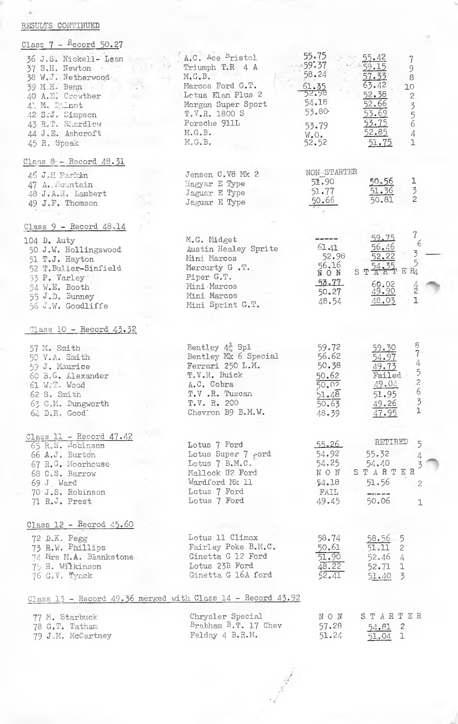## RESULTS CONTINUED

| Class $7 -$ Record 50.27                                                                                                                                                                     |                                                                                                                                                                                |                                                                                               |                                                                                                |                                                                                                                                           |
|----------------------------------------------------------------------------------------------------------------------------------------------------------------------------------------------|--------------------------------------------------------------------------------------------------------------------------------------------------------------------------------|-----------------------------------------------------------------------------------------------|------------------------------------------------------------------------------------------------|-------------------------------------------------------------------------------------------------------------------------------------------|
| 36 J.S. Nickell- Lean<br>37 S.H. Newton<br>38 W.J. Netherwood<br>39 M.H. Benn<br>40 A.E. Crowther<br>41 M. Dilnot:<br>42 S.J. Simpson<br>43 R.T. Shardlow<br>44 J.E. Ashcroft<br>45 R. Speak | A.C. Ace Bristol<br>Triumph T.R 4 A<br>$M, G, B, \ldots$<br>Marcos Ford G.T.<br>Letus Elan Plus 2<br>Morgan Super Sport<br>T.V.R. 1800 S<br>Porsche 911L<br>M, G, B.<br>M.G.B. | 55.75<br>$-59.37$<br>58.24<br>$rac{61.35}{52.98}$<br>54.18<br>53.80<br>53.79<br>W.O.<br>52.52 | 55.42<br>459.15<br>57.33<br>63.42<br>52.38<br>52.66<br>53.69<br><u>53.75</u><br>52.85<br>51.75 | 7<br>9<br>$\bar{8}$<br>10<br>$\mathbf{2}$<br>356<br>4<br>$\mathbf 1$                                                                      |
| Class 8 - Record 48.31                                                                                                                                                                       |                                                                                                                                                                                |                                                                                               |                                                                                                |                                                                                                                                           |
| 46 J.H Parkin<br>47 A. Mountain<br>48 J.A.H. Lambert<br>49 J.F. Thomson                                                                                                                      | Jensen C.V8 Mk 2<br>Hagyar E Type<br>Jaguar E Type<br>Jaguar E Type                                                                                                            | NON-STARTER<br>51.90<br>51.77<br>50.66                                                        | <u>50.56</u><br>51.36<br>50.81                                                                 | $\frac{1}{3}$ 2                                                                                                                           |
| Class $9$ - Record $48.14$                                                                                                                                                                   |                                                                                                                                                                                |                                                                                               |                                                                                                |                                                                                                                                           |
| 104 D. Auty<br>50 J.W. Hollingswood<br>51 T.J. Hayton<br>52 T. Buller-Sinfield<br>53 P. Varley<br>54 W.E. Booth<br>55 J.D. Bunney<br>56 J.W. Goodliffe                                       | M.G. Midget<br>Austin Healey Sprite<br>Mini Marcos<br>Mercurty G.T.<br>Piper G.T.<br>Mini Marcos<br>Mini Marcos<br>Mini Sprint G.T.                                            | 61.41<br>52.98<br>56.16<br>NON<br>53.77<br>50.27<br>48.54                                     | 59.75<br>56.46<br>52.22<br>54.35<br>START<br>60.02<br><u>49.90</u><br>48.03                    | 7.<br>6<br>3<br>5<br>E'R<br>$\frac{1}{2}$<br>$\mathbf{I}$                                                                                 |
| Class 10 - Record 43.32                                                                                                                                                                      |                                                                                                                                                                                |                                                                                               |                                                                                                |                                                                                                                                           |
| 57 M. Smith<br>53 V.A. Smith<br>59 J. Maurice<br>60 B.G. Alexander<br>61 W.T. Wood<br>$62S.$ Smith<br>63 G.M. Dungworth<br>$64$ $D_nR$ , $Good$                                              | Bentley $4\frac{1}{4}$ Spl<br>Bentley Mk 6 Special<br>Ferrari 250 L.M.<br>T.V.R. Buick<br>A.C. Cobra<br>T.V.R. Tuscan<br>T.V. R. 200<br>Chevron B9 B.M.W.                      | 59.72<br>56.62<br>50.38<br>50.62<br>50.02<br>51.48<br>50.63<br>48.39                          | 59.30<br>54.97<br>49.73<br>Failed<br><u>49.04</u><br>51.95<br>49.26<br>47.95                   | 8<br>7 <sup>1</sup><br>4<br>5<br>$\mathcal{L}% _{G}(\theta)=\left( \mathcal{L}_{G}(\theta)\right) ^{\ast}$<br>$\epsilon$<br>$\frac{3}{1}$ |
| Class $11$ - Record $47.42$                                                                                                                                                                  |                                                                                                                                                                                |                                                                                               |                                                                                                |                                                                                                                                           |
| 65 R.S. Robinson<br>66 A.J. Burton<br>67 R.G. Moorhouse<br>68 C.S. Barrow<br>$69 J$ , Ward<br>70 J.S. Robinson<br>71 R.J. Prest                                                              | Lotus 7 Ford<br>Lotus Super 7 rord<br>Lotus 7 B.M.C.<br>Mallock U2 Ford<br>Wardford Mk 11<br>Lotus 7 Ford<br>Lotus 7 Ford                                                      | 55.26<br>54.92<br>54.25<br>$\,$ N $\,$ O $\,$ N $\,$<br>$-54.18$<br>FAIL<br>49.45             | RETIRED<br>55.32<br>54.40<br>STARTER<br>51.56<br>50,06                                         | 5<br>4<br>$\overline{c}$<br>$\mathbf 1$                                                                                                   |
| $Class 12 - Record 45.60$                                                                                                                                                                    |                                                                                                                                                                                |                                                                                               |                                                                                                |                                                                                                                                           |
| 72 D.K. Pegg<br>73 R.W. Phillips<br>74 Mrs M.A. Blankstone.<br>75 H. Wilkinson<br>76 G.V. Tyack                                                                                              | Lotus 11 Climax<br>Fairley Poke B.M.C.<br>Ginetta G 12 Ford<br>Lotus 23B Ford<br>Ginetta G 16A ford                                                                            | 58.74<br>50.61<br>51.90<br>48.22<br>52.41                                                     | $58.56 - 5$<br>51.11<br>$2^{\circ}$<br>$52.46$ 4<br>$52.71$ 1<br>51.40 3                       |                                                                                                                                           |
|                                                                                                                                                                                              | Class 13 - Record 49.36 merged with Class 14 - Record 43.92                                                                                                                    |                                                                                               |                                                                                                |                                                                                                                                           |
| 77 M. Starbuck<br>78 G.T. Tatham<br>79 J.M. McCartney                                                                                                                                        | Chrysler Special<br>$B_{\text{rabham}} B. T. 17$ Chev<br>Felday 4 B.R.M.                                                                                                       | NON<br>57.28<br>51.24                                                                         | STARTER<br>54.81<br>$\overline{c}$<br>ı<br>51.04                                               |                                                                                                                                           |

And Ash .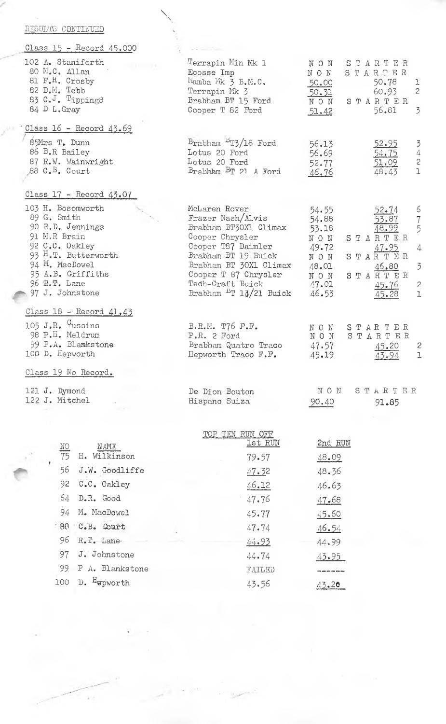| RESULTS CONTINUED                                                                                                                                                                                                 |                                                                                                                                                                                                                                       |                                                                                                                                                                                                                                                                          |
|-------------------------------------------------------------------------------------------------------------------------------------------------------------------------------------------------------------------|---------------------------------------------------------------------------------------------------------------------------------------------------------------------------------------------------------------------------------------|--------------------------------------------------------------------------------------------------------------------------------------------------------------------------------------------------------------------------------------------------------------------------|
| Class 15 - Record 45.000                                                                                                                                                                                          |                                                                                                                                                                                                                                       |                                                                                                                                                                                                                                                                          |
| 102 A. Staniforth<br>80 M.C. Allan<br>81 F.H. Crosby<br>82 D.M. Tebb<br>83 C.J. Tipping8<br>84 D L. Gray                                                                                                          | Terrapin Min Mk 1<br>Ecosse Imp<br>Mamba Mk 3 B.M.C.<br>Terrapin Mk 3<br>Brabham BT 15 Ford<br>Cooper T 82 Ford                                                                                                                       | NON<br>STARTER<br>NON<br>STARTER<br>50.78<br>-1<br>50.00<br>$\sqrt{2}$<br>60.93<br>50.31<br>STARTER<br>NON.<br>3<br>56.81<br>51.42                                                                                                                                       |
| Class 16 - Record 43.69                                                                                                                                                                                           |                                                                                                                                                                                                                                       |                                                                                                                                                                                                                                                                          |
| 85Mrs T. Dunn<br>86 B.R Bailey<br>87 R.W. Wainwright<br>$\beta$ 8 C. <sup>B</sup> . Court                                                                                                                         | Brabham <sup>B</sup> T3/18 Ford<br>Lotus 20 Ford<br>Lotus 20 Ford<br>Brabham BT 21 A Ford                                                                                                                                             | 342<br>56.13<br>52.95<br>54.75<br>56.69<br>52.77<br>$\frac{51.09}{48.43}$<br>$\mathbf 1$<br>46.76                                                                                                                                                                        |
| $Class 17 - Record 43.07$                                                                                                                                                                                         |                                                                                                                                                                                                                                       |                                                                                                                                                                                                                                                                          |
| 103 H. Bosomworth<br>89 G. Smith<br>90 R.D. Jennings<br>91 M.R Brain<br>92 C.C. Oakley<br>93 H.T. Butterworth<br>94 M. MacDowel<br>95 A.B. Griffiths<br>$96 \, \text{R} \cdot \text{T}$ . Lane<br>97 J. Johnstone | McLaren Rover<br>Frazer Nash/Alvis<br>Brabham BT30X1 Climax<br>Cooper Chrysler<br>Cooper T87 Daimler<br>Brabham BT 19 Buick<br>Brabham BT 30X1 Climax<br>Cooper T 87 Chrysler<br>Tech-Craft Buick<br>Brabham $\frac{16}{14}/21$ Buick | 6<br>54.55<br>52.74<br>$\frac{7}{5}$<br>54.88<br>53.87<br>53.18<br>48.99<br>STARTER<br>NON<br>49.72<br>4<br>47.95<br>STARTER<br>NON<br>3<br>48.01<br>46.80<br>STARTER<br>NON <sup>1</sup><br>47.01<br>$\overline{\mathbf{c}}$<br>45.76<br>$\mathbf{I}$<br>46.53<br>45.28 |
| Class 18 - Record 41.43                                                                                                                                                                                           |                                                                                                                                                                                                                                       |                                                                                                                                                                                                                                                                          |
| 105 J.R. $\mathcal{C}_{\text{ussins}}$<br>98 P.H. Meldrum<br>99 P.A. Blamkstone<br>100 D. Hepworth                                                                                                                | B.R.M. T76 F.F.<br>P.R. 2 Ford<br>Brabham Quatro Traco<br>Hepworth Traco F.F.                                                                                                                                                         | STARTER<br>NON<br>STARTER<br>NON<br>47.57<br>45.20<br>2<br>45.19<br>1<br>43.94                                                                                                                                                                                           |
| Class 19 No Record.                                                                                                                                                                                               |                                                                                                                                                                                                                                       |                                                                                                                                                                                                                                                                          |
| 121 J. Dymond<br>122 J. Mitchel                                                                                                                                                                                   | De Dion Bouton<br>Hispano Suiza                                                                                                                                                                                                       | NON<br><b>STARTER</b><br>90.40<br>91.85                                                                                                                                                                                                                                  |
|                                                                                                                                                                                                                   | RUN OFF<br>TOP TEN                                                                                                                                                                                                                    |                                                                                                                                                                                                                                                                          |
| NAME<br><u>NO</u>                                                                                                                                                                                                 | <u>lst RUN</u>                                                                                                                                                                                                                        | 2nd RUN                                                                                                                                                                                                                                                                  |
| $\overline{75}$<br>H. Wilkinson                                                                                                                                                                                   | 79.57                                                                                                                                                                                                                                 | 48.09                                                                                                                                                                                                                                                                    |
| 56<br>J.W. Goodliffe                                                                                                                                                                                              | 47.32                                                                                                                                                                                                                                 | 48.36                                                                                                                                                                                                                                                                    |
| 92<br>C.C. Oakley<br>64<br>D.R. Good                                                                                                                                                                              | 46.12                                                                                                                                                                                                                                 | 46.63                                                                                                                                                                                                                                                                    |
| M. MacDowel<br>94                                                                                                                                                                                                 | 47.76                                                                                                                                                                                                                                 | 47.68                                                                                                                                                                                                                                                                    |
| 88 C.B. Court                                                                                                                                                                                                     | 45.77                                                                                                                                                                                                                                 | 45.60                                                                                                                                                                                                                                                                    |
|                                                                                                                                                                                                                   | 47.74                                                                                                                                                                                                                                 | <u>46.54</u>                                                                                                                                                                                                                                                             |

 $\mathbb{X}^{U,1}$ 

96 R.T. Lane-

97 J. Johnstone

100 D. Hepworth

99 P A. Blankstone

 $44.93$ 

 $44.74$ 

 $\rm FALLED$ 

 $43.56$ 

44.99

43.95

-------

 $43.20$